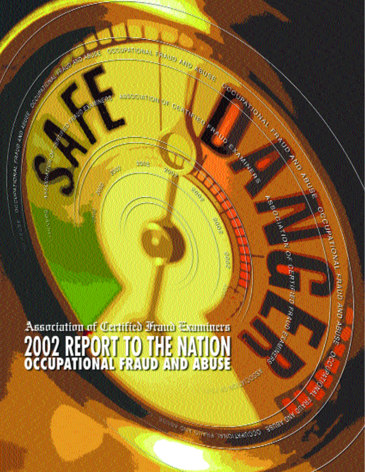Association of Certified Francisconniners<br>2002 REPORT TO THE NATION<br>OCCUPATIONAL FRAUD AND ABUSE

unny.

TA

**September 2009** 

Marian Maria Laborer

S

**Alba** 

ot GERTHIER RANG

**Controller Communication** 

地山路

Service of the Contract

**SOLUT** 

Š

**CONTRACTOR** 

西部大学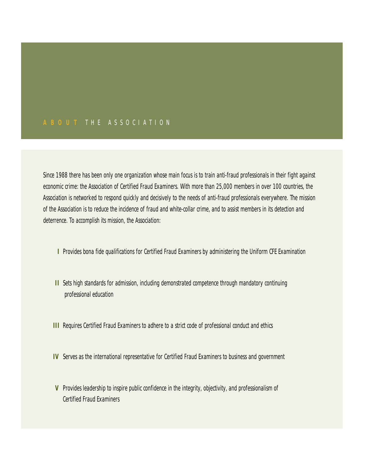# **A B O U T** T H E A S S O C I A T I O N

Since 1988 there has been only one organization whose main focus is to train anti-fraud professionals in their fight against economic crime: the Association of Certified Fraud Examiners. With more than 25,000 members in over 100 countries, the Association is networked to respond quickly and decisively to the needs of anti-fraud professionals everywhere. The mission of the Association is to reduce the incidence of fraud and white-collar crime, and to assist members in its detection and deterrence. To accomplish its mission, the Association:

- **I** Provides bona fide qualifications for Certified Fraud Examiners by administering the Uniform CFE Examination
- **II** Sets high standards for admission, including demonstrated competence through mandatory continuing professional education
- **III** Requires Certified Fraud Examiners to adhere to a strict code of professional conduct and ethics
- **IV** Serves as the international representative for Certified Fraud Examiners to business and government
- **V** Provides leadership to inspire public confidence in the integrity, objectivity, and professionalism of Certified Fraud Examiners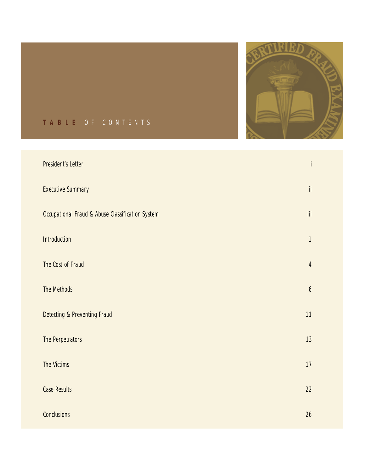

# **T A B L E** O F C O N T E N T S

| <b>President's Letter</b>                                   | İ                       |
|-------------------------------------------------------------|-------------------------|
| <b>Executive Summary</b>                                    | $\mathsf{ii}$           |
| <b>Occupational Fraud &amp; Abuse Classification System</b> | $\overline{\text{iii}}$ |
| Introduction                                                | $\mathbf{1}$            |
| The Cost of Fraud                                           | $\overline{4}$          |
| <b>The Methods</b>                                          | $\boldsymbol{6}$        |
| <b>Detecting &amp; Preventing Fraud</b>                     | 11                      |
| The Perpetrators                                            | 13                      |
| <b>The Victims</b>                                          | 17                      |
| <b>Case Results</b>                                         | 22                      |
| <b>Conclusions</b>                                          | 26                      |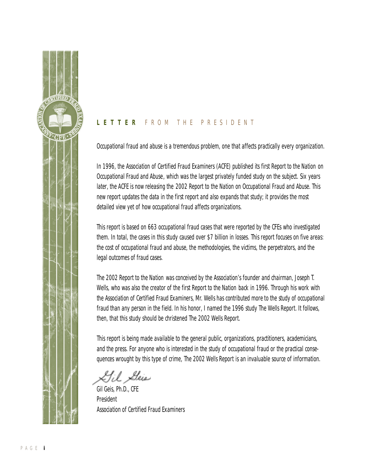

# **L E T T E R** F R O M T H E P R E S I D E N T

Occupational fraud and abuse is a tremendous problem, one that affects practically every organization.

In 1996, the Association of Certified Fraud Examiners (ACFE) published its first *Report to the Nation on Occupational Fraud and Abuse*, which was the largest privately funded study on the subject. Six years later, the ACFE is now releasing the *2002 Report to the Nation on Occupational Fraud and Abuse*. This new report updates the data in the first report and also expands that study; it provides the most detailed view yet of how occupational fraud affects organizations.

This report is based on 663 occupational fraud cases that were reported by the CFEs who investigated them. In total, the cases in this study caused over \$7 billion in losses. This report focuses on five areas: the cost of occupational fraud and abuse, the methodologies, the victims, the perpetrators, and the legal outcomes of fraud cases.

The *2002 Report to the Nation* was conceived by the Association's founder and chairman, Joseph T. Wells, who was also the creator of the first *Report to the Nation* back in 1996. Through his work with the Association of Certified Fraud Examiners, Mr. Wells has contributed more to the study of occupational fraud than any person in the field. In his honor, I named the 1996 study *The Wells Report*. It follows, then, that this study should be christened *The 2002 Wells Report*.

This report is being made available to the general public, organizations, practitioners, academicians, and the press. For anyone who is interested in the study of occupational fraud or the practical consequences wrought by this type of crime, *The 2002 Wells Report* is an invaluable source of information.

LIil Seis

Gil Geis, Ph.D., CFE President Association of Certified Fraud Examiners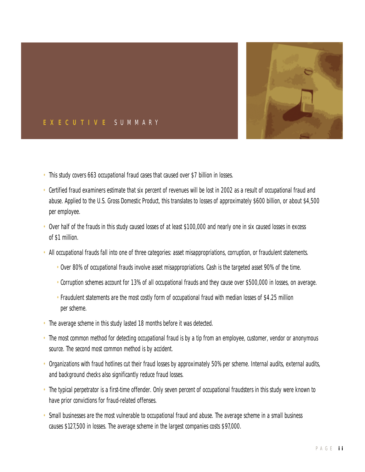

# **E X E C U T I V E** S U M M A R Y

- This study covers 663 occupational fraud cases that caused over \$7 billion in losses.
- Certified fraud examiners estimate that six percent of revenues will be lost in 2002 as a result of occupational fraud and abuse. Applied to the U.S. Gross Domestic Product, this translates to losses of approximately \$600 billion, or about \$4,500 per employee.
- Over half of the frauds in this study caused losses of at least \$100,000 and nearly one in six caused losses in excess of \$1 million.
- All occupational frauds fall into one of three categories: asset misappropriations, corruption, or fraudulent statements.
	- Over 80% of occupational frauds involve asset misappropriations. Cash is the targeted asset 90% of the time.
	- Corruption schemes account for 13% of all occupational frauds and they cause over \$500,000 in losses, on average.
	- Fraudulent statements are the most costly form of occupational fraud with median losses of \$4.25 million per scheme.
- The average scheme in this study lasted 18 months before it was detected.
- The most common method for detecting occupational fraud is by a tip from an employee, customer, vendor or anonymous source. The second most common method is by accident.
- Organizations with fraud hotlines cut their fraud losses by approximately 50% per scheme. Internal audits, external audits, and background checks also significantly reduce fraud losses.
- The typical perpetrator is a first-time offender. Only seven percent of occupational fraudsters in this study were known to have prior convictions for fraud-related offenses.
- Small businesses are the most vulnerable to occupational fraud and abuse. The average scheme in a small business causes \$127,500 in losses. The average scheme in the largest companies costs \$97,000.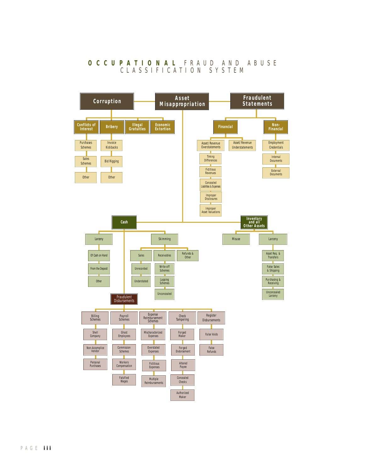### **O C C U P A T I O N A L** F R A U D A N D A B U S E C L A S S I F I C A T I O N S Y S T E M

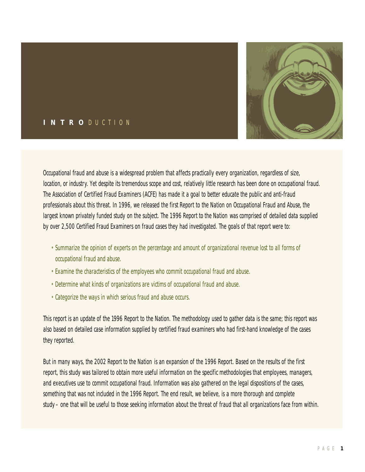

# **I N T R O** D U C T I O N

Occupational fraud and abuse is a widespread problem that affects practically every organization, regardless of size, location, or industry. Yet despite its tremendous scope and cost, relatively little research has been done on occupational fraud. The Association of Certified Fraud Examiners (ACFE) has made it a goal to better educate the public and anti-fraud professionals about this threat. In 1996, we released the first *Report to the Nation on Occupational Fraud and Abuse*, the largest known privately funded study on the subject. The *1996 Report to the Nation* was comprised of detailed data supplied by over 2,500 Certified Fraud Examiners on fraud cases they had investigated. The goals of that report were to:

- Summarize the opinion of experts on the percentage and amount of organizational revenue lost to all forms of occupational fraud and abuse.
- Examine the characteristics of the employees who commit occupational fraud and abuse.
- Determine what kinds of organizations are victims of occupational fraud and abuse.
- Categorize the ways in which serious fraud and abuse occurs.

This report is an update of the *1996 Report to the Nation*. The methodology used to gather data is the same; this report was also based on detailed case information supplied by certified fraud examiners who had first-hand knowledge of the cases they reported.

But in many ways, the *2002 Report to the Nation* is an expansion of the *1996 Report*. Based on the results of the first report, this study was tailored to obtain more useful information on the specific methodologies that employees, managers, and executives use to commit occupational fraud. Information was also gathered on the legal dispositions of the cases, something that was not included in the *1996 Report*. The end result, we believe, is a more thorough and complete study – one that will be useful to those seeking information about the threat of fraud that all organizations face from within.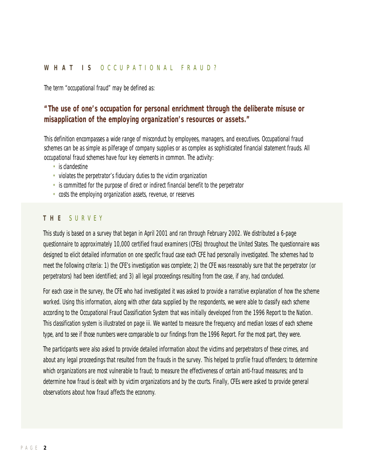#### **W H A T I S** O C C U P A T I O N A L F R A U D ?

The term "occupational fraud" may be defined as:

# *"The use of one's occupation for personal enrichment through the deliberate misuse or misapplication of the employing organization's resources or assets."*

This definition encompasses a wide range of misconduct by employees, managers, and executives. Occupational fraud schemes can be as simple as pilferage of company supplies or as complex as sophisticated financial statement frauds. All occupational fraud schemes have four key elements in common. The activity:

- is clandestine
- violates the perpetrator's fiduciary duties to the victim organization
- is committed for the purpose of direct or indirect financial benefit to the perpetrator
- costs the employing organization assets, revenue, or reserves

### **T H E** S U R V E Y

This study is based on a survey that began in April 2001 and ran through February 2002. We distributed a 6-page questionnaire to approximately 10,000 certified fraud examiners (CFEs) throughout the United States. The questionnaire was designed to elicit detailed information on one specific fraud case each CFE had personally investigated. The schemes had to meet the following criteria: 1) the CFE's investigation was complete; 2) the CFE was reasonably sure that the perpetrator (or perpetrators) had been identified; and 3) all legal proceedings resulting from the case, if any, had concluded.

For each case in the survey, the CFE who had investigated it was asked to provide a narrative explanation of how the scheme worked. Using this information, along with other data supplied by the respondents, we were able to classify each scheme according to the *Occupational Fraud Classification System* that was initially developed from the *1996 Report to the Nation*. This classification system is illustrated on page iii. We wanted to measure the frequency and median losses of each scheme type, and to see if those numbers were comparable to our findings from the *1996 Report*. For the most part, they were.

The participants were also asked to provide detailed information about the victims and perpetrators of these crimes, and about any legal proceedings that resulted from the frauds in the survey. This helped to profile fraud offenders; to determine which organizations are most vulnerable to fraud; to measure the effectiveness of certain anti-fraud measures; and to determine how fraud is dealt with by victim organizations and by the courts. Finally, CFEs were asked to provide general observations about how fraud affects the economy.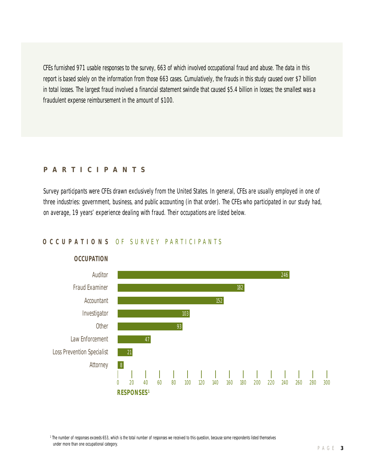CFEs furnished 971 usable responses to the survey, 663 of which involved occupational fraud and abuse. The data in this report is based solely on the information from those 663 cases. Cumulatively, the frauds in this study caused over \$7 billion in total losses. The largest fraud involved a financial statement swindle that caused \$5.4 billion in losses; the smallest was a fraudulent expense reimbursement in the amount of \$100.

#### **P A R T I C I P A N T S**

Survey participants were CFEs drawn exclusively from the United States. In general, CFEs are usually employed in one of three industries: government, business, and public accounting (in that order). The CFEs who participated in our study had, on average, 19 years' experience dealing with fraud. Their occupations are listed below.

### **O C C U P A T I O N S** O F S U R V E Y P A R T I C I P A N T S



#### **OCCUPATION**

<sup>1</sup> The number of responses exceeds 653, which is the total number of responses we received to this question, because some respondents listed themselves under more than one occupational category.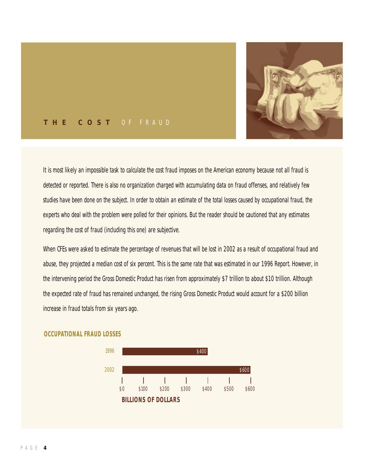

## **T H E C O S T** O F F R A U D

It is most likely an impossible task to calculate the cost fraud imposes on the American economy because not all fraud is detected or reported. There is also no organization charged with accumulating data on fraud offenses, and relatively few studies have been done on the subject. In order to obtain an estimate of the total losses caused by occupational fraud, the experts who deal with the problem were polled for their opinions. But the reader should be cautioned that any estimates regarding the cost of fraud (including this one) are subjective.

When CFEs were asked to estimate the percentage of revenues that will be lost in 2002 as a result of occupational fraud and abuse, they projected a median cost of six percent. This is the same rate that was estimated in our *1996 Report*. However, in the intervening period the Gross Domestic Product has risen from approximately \$7 trillion to about \$10 trillion. Although the expected rate of fraud has remained unchanged, the rising Gross Domestic Product would account for a \$200 billion increase in fraud totals from six years ago.



#### **OCCUPATIONAL FRAUD LOSSES**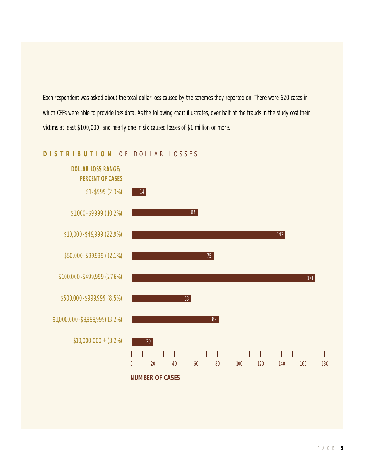Each respondent was asked about the total dollar loss caused by the schemes they reported on. There were 620 cases in which CFEs were able to provide loss data. As the following chart illustrates, over half of the frauds in the study cost their victims at least \$100,000, and nearly one in six caused losses of \$1 million or more.



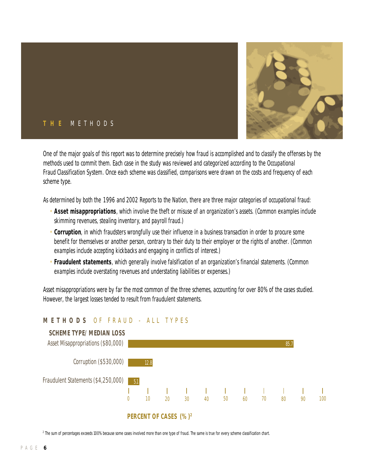

## **T H E** M E T H O D S

One of the major goals of this report was to determine precisely how fraud is accomplished and to classify the offenses by the methods used to commit them. Each case in the study was reviewed and categorized according to the *Occupational Fraud Classification System*. Once each scheme was classified, comparisons were drawn on the costs and frequency of each scheme type.

As determined by both the *1996* and *2002 Reports to the Nation*, there are three major categories of occupational fraud:

- **Asset misappropriations**, which involve the theft or misuse of an organization's assets. (Common examples include skimming revenues, stealing inventory, and payroll fraud.)
- **Corruption**, in which fraudsters wrongfully use their influence in a business transaction in order to procure some benefit for themselves or another person, contrary to their duty to their employer or the rights of another. (Common examples include accepting kickbacks and engaging in conflicts of interest.)
- **Fraudulent statements**, which generally involve falsification of an organization's financial statements. (Common examples include overstating revenues and understating liabilities or expenses.)

Asset misappropriations were by far the most common of the three schemes, accounting for over 80% of the cases studied. However, the largest losses tended to result from fraudulent statements.



# **M E T H O D S** O F F R A U D - A L L T Y P E S

<sup>2</sup> The sum of percentages exceeds 100% because some cases involved more than one type of fraud. The same is true for every scheme classification chart.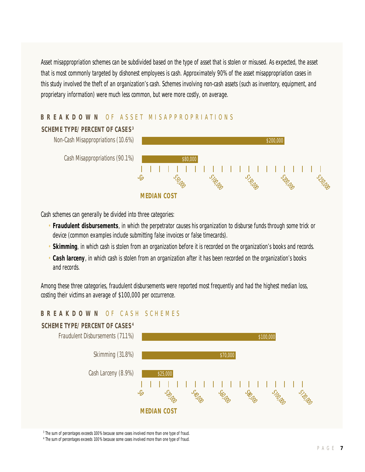Asset misappropriation schemes can be subdivided based on the type of asset that is stolen or misused. As expected, the asset that is most commonly targeted by dishonest employees is cash. Approximately 90% of the asset misappropriation cases in this study involved the theft of an organization's cash. Schemes involving non-cash assets (such as inventory, equipment, and proprietary information) were much less common, but were more costly, on average.

# **B R E A K D O W N** O F A S S E T M I S A P P R O P R I A T I O N S



Cash schemes can generally be divided into three categories:

- **Fraudulent disbursements**, in which the perpetrator causes his organization to disburse funds through some trick or device (common examples include submitting false invoices or false timecards).
- **Skimming**, in which cash is stolen from an organization *before* it is recorded on the organization's books and records.
- **Cash larceny**, in which cash is stolen from an organization *after* it has been recorded on the organization's books and records.

Among these three categories, fraudulent disbursements were reported most frequently and had the highest median loss, costing their victims an average of \$100,000 per occurrence.

# **B R E A K D O W N OF CASH SCHEMES**



<sup>3</sup> The sum of percentages exceeds 100% because some cases involved more than one type of fraud.

<sup>4</sup> The sum of percentages exceeds 100% because some cases involved more than one type of fraud.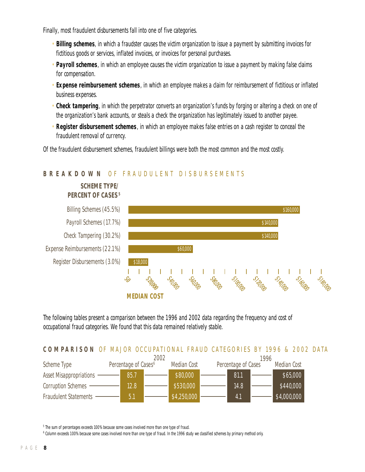Finally, most fraudulent disbursements fall into one of five categories.

- **Billing schemes**, in which a fraudster causes the victim organization to issue a payment by submitting invoices for fictitious goods or services, inflated invoices, or invoices for personal purchases.
- **Payroll schemes**, in which an employee causes the victim organization to issue a payment by making false claims for compensation.
- **Expense reimbursement schemes**, in which an employee makes a claim for reimbursement of fictitious or inflated business expenses.
- **Check tampering**, in which the perpetrator converts an organization's funds by forging or altering a check on one of the organization's bank accounts, or steals a check the organization has legitimately issued to another payee.
- **Register disbursement schemes**, in which an employee makes false entries on a cash register to conceal the fraudulent removal of currency.

Of the fraudulent disbursement schemes, fraudulent billings were both the most common and the most costly.



# **B R E A K D O W N OF FRAUDULENT DISBURSEMENTS**

The following tables present a comparison between the 1996 and 2002 data regarding the frequency and cost of occupational fraud categories. We found that this data remained relatively stable.

## **COMPARISON** OF MAJOR OCCUPATIONAL FRAUD CATEGORIES BY 1996 & 2002 DATA

|                                |                                  | 2002 |  |                    |  | 1996                |  |                    |  |
|--------------------------------|----------------------------------|------|--|--------------------|--|---------------------|--|--------------------|--|
| Scheme Type                    | Percentage of Cases <sup>6</sup> |      |  | <b>Median Cost</b> |  | Percentage of Cases |  | <b>Median Cost</b> |  |
| <b>Asset Misappropriations</b> |                                  | 85.7 |  | \$80,000           |  | 81.1                |  | \$65,000           |  |
| <b>Corruption Schemes</b>      |                                  | 12.8 |  | \$530,000          |  | 14.8                |  | \$440,000          |  |
| <b>Fraudulent Statements</b>   |                                  | b.   |  | \$4,250,000        |  | 4.1                 |  | \$4,000,000        |  |

<sup>5</sup> The sum of percentages exceeds 100% because some cases involved more than one type of fraud.

6 Column exceeds 100% because some cases involved more than one type of fraud. In the 1996 study we classified schemes by primary method only.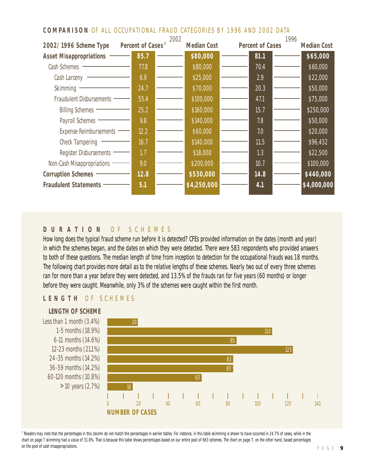# **COMPARISON OF ALL OCCUPATIONAL FRAUD CATEGORIES BY 1996 AND 2002 DATA**

|                                 |                               | 2002 |                    |                         | 1996 |                    |
|---------------------------------|-------------------------------|------|--------------------|-------------------------|------|--------------------|
| 2002/1996 Scheme Type           | Percent of Cases <sup>7</sup> |      | <b>Median Cost</b> | <b>Percent of Cases</b> |      | <b>Median Cost</b> |
| <b>Asset Misappropriations</b>  | 85.7                          |      | \$80,000           | 81.1                    |      | \$65,000           |
| Cash Schemes                    | 77.8                          |      | \$80,000           | 70.4                    |      | \$60,000           |
| Cash Larceny                    | 6.9                           |      | \$25,000           | 2.9                     |      | \$22,000           |
| Skimming                        | 24.7                          |      | \$70,000           | 20.3                    |      | \$50,000           |
| <b>Fraudulent Disbursements</b> | 55.4                          |      | \$100,000          | 47.1                    |      | \$75,000           |
| <b>Billing Schemes</b>          | 25.2                          |      | \$160,000          | 15.7                    |      | \$250,000          |
| <b>Payroll Schemes</b>          | 9.8                           |      | \$140,000          | 7.8                     |      | \$50,000           |
| <b>Expense Reimbursements</b>   | 12.2                          |      | \$60,000           | 7.0                     |      | \$20,000           |
| <b>Check Tampering</b>          | 16.7                          |      | \$140,000          | 11.5                    |      | \$96,432           |
| <b>Register Disbursements</b>   | 1.7                           |      | \$18,000           | 1.3                     |      | \$22,500           |
| Non-Cash Misappropriations      | 9.0                           |      | \$200,000          | 10.7                    |      | \$100,000          |
| <b>Corruption Schemes</b>       | 12.8                          |      | \$530,000          | 14.8                    |      | \$440,000          |
| <b>Fraudulent Statements</b>    | 5.1                           |      | \$4,250,000        | 4.1                     |      | \$4,000,000        |
|                                 |                               |      |                    |                         |      |                    |

# **D U R A T I O N** O F S C H E M E S

How long does the typical fraud scheme run before it is detected? CFEs provided information on the dates (month and year) in which the schemes began, and the dates on which they were detected. There were 583 respondents who provided answers to both of these questions. The median length of time from inception to detection for the occupational frauds was 18 months. The following chart provides more detail as to the relative lengths of these schemes. Nearly two out of every three schemes ran for more than a year before they were detected, and 13.5% of the frauds ran for five years (60 months) or longer before they were caught. Meanwhile, only 3% of the schemes were caught within the first month.

# **L E N G T H** O F S C H E M E S



<sup>7</sup> Readers may note that the percentages in this column do not match the percentages in earlier tables. For instance, in this table skimming is shown to have occurred in 24.7% of cases, while in the chart on page 7 skimming had a value of 31.8%. That is because this table shows percentages based on our entire pool of 663 schemes. The chart on page 7, on the other hand, based percentages on the pool of cash misappropriations.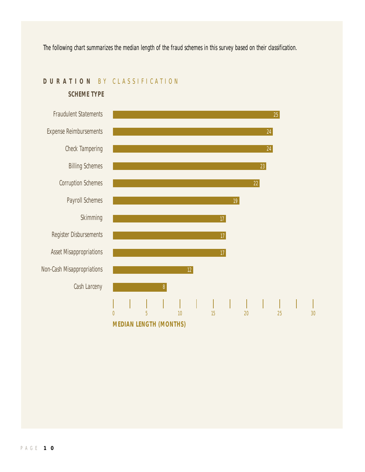The following chart summarizes the median length of the fraud schemes in this survey based on their classification.

# **D U R A T I O N** B Y C L A S S I F I C A T I O N

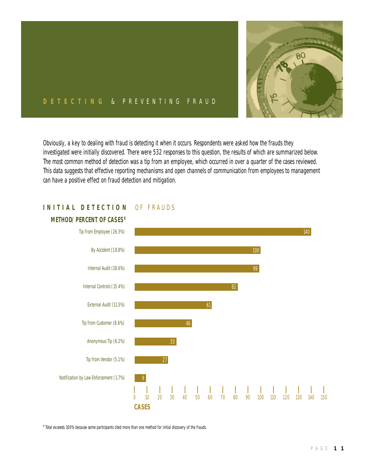

## **D E T E C T I N G** & P R E V E N T I N G F R A U D

Obviously, a key to dealing with fraud is detecting it when it occurs. Respondents were asked how the frauds they investigated were initially discovered. There were 532 responses to this question, the results of which are summarized below. The most common method of detection was a tip from an employee, which occurred in over a quarter of the cases reviewed. This data suggests that effective reporting mechanisms and open channels of communication from employees to management can have a positive effect on fraud detection and mitigation.



# **INITIAL DETECTION OF FRAUDS**

<sup>8</sup> Total exceeds 100% because some participants cited more than one method for initial discovery of the frauds.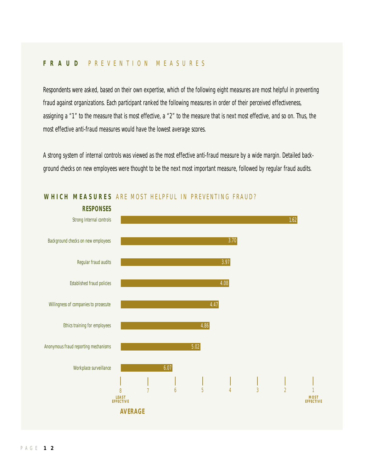## **F R A U D** P R E V E N T I O N M E A S U R E S

Respondents were asked, based on their own expertise, which of the following eight measures are most helpful in preventing fraud against organizations. Each participant ranked the following measures in order of their perceived effectiveness, assigning a "1" to the measure that is most effective, a "2" to the measure that is next most effective, and so on. Thus, the most effective anti-fraud measures would have the lowest average scores.

A strong system of internal controls was viewed as the most effective anti-fraud measure by a wide margin. Detailed background checks on new employees were thought to be the next most important measure, followed by regular fraud audits.



## **WHICH MEASURES** ARE MOST HELPFUL IN PREVENTING FRAUD?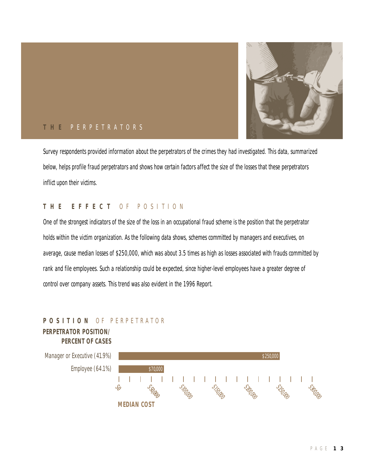

## **T H E** P E R P E T R A T O R S

Survey respondents provided information about the perpetrators of the crimes they had investigated. This data, summarized below, helps profile fraud perpetrators and shows how certain factors affect the size of the losses that these perpetrators inflict upon their victims.

# **T H E E F F E C T** O F P O S I T I O N

One of the strongest indicators of the size of the loss in an occupational fraud scheme is the position that the perpetrator holds within the victim organization. As the following data shows, schemes committed by managers and executives, on average, cause median losses of \$250,000, which was about 3.5 times as high as losses associated with frauds committed by rank and file employees. Such a relationship could be expected, since higher-level employees have a greater degree of control over company assets. This trend was also evident in the *1996 Report*.

# **P O S I T I O N** O F P E R P E T R A T O R **PERPETRATOR POSITION/**

**PERCENT OF CASES**

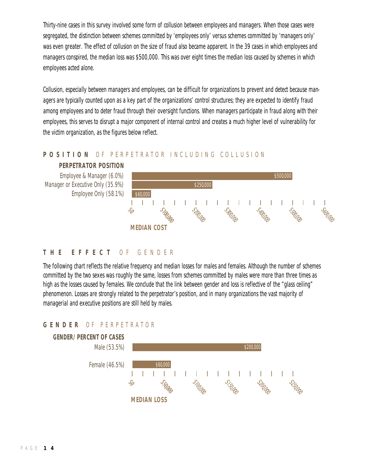Thirty-nine cases in this survey involved some form of collusion between employees and managers. When those cases were segregated, the distinction between schemes committed by 'employees only' versus schemes committed by 'managers only' was even greater. The effect of collusion on the size of fraud also became apparent. In the 39 cases in which employees and managers conspired, the median loss was \$500,000. This was over eight times the median loss caused by schemes in which employees acted alone.

Collusion, especially between managers and employees, can be difficult for organizations to prevent and detect because managers are typically counted upon as a key part of the organizations' control structures; they are expected to identify fraud among employees and to deter fraud through their oversight functions. When managers participate in fraud along with their employees, this serves to disrupt a major component of internal control and creates a much higher level of vulnerability for the victim organization, as the figures below reflect.

# POSITION OF PERPETRATOR INCLUDING COLLUSION



## **T H E E F F E C T** O F G E N D E R

The following chart reflects the relative frequency and median losses for males and females. Although the number of schemes committed by the two sexes was roughly the same, losses from schemes committed by males were more than three times as high as the losses caused by females. We conclude that the link between gender and loss is reflective of the "glass ceiling" phenomenon. Losses are strongly related to the perpetrator's position, and in many organizations the vast majority of managerial and executive positions are still held by males.

# **G E N D E R** O F P E R P E T R A T O R

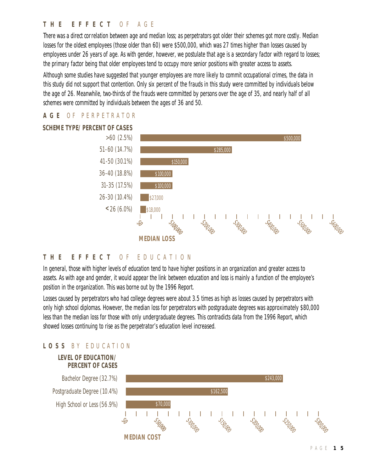## **T H E E F F E C T** O F A G E

There was a direct correlation between age and median loss; as perpetrators got older their schemes got more costly. Median losses for the oldest employees (those older than 60) were \$500,000, which was 27 times higher than losses caused by employees under 26 years of age. As with gender, however, we postulate that age is a secondary factor with regard to losses; the primary factor being that older employees tend to occupy more senior positions with greater access to assets.

Although some studies have suggested that younger employees are more likely to commit occupational crimes, the data in this study did not support that contention. Only six percent of the frauds in this study were committed by individuals below the age of 26. Meanwhile, two-thirds of the frauds were committed by persons over the age of 35, and nearly half of all schemes were committed by individuals between the ages of 36 and 50.



### **A G E** O F P E R P E T R A T O R

#### **T H E E F F E C T** O F E D U C A T I O N

In general, those with higher levels of education tend to have higher positions in an organization and greater access to assets. As with age and gender, it would appear the link between education and loss is mainly a function of the employee's position in the organization. This was borne out by the *1996 Report*.

Losses caused by perpetrators who had college degrees were about 3.5 times as high as losses caused by perpetrators with only high school diplomas. However, the median loss for perpetrators with postgraduate degrees was approximately \$80,000 *less* than the median loss for those with only undergraduate degrees. This contradicts data from the *1996 Report*, which showed losses continuing to rise as the perpetrator's education level increased.

## **L O S S** B Y E D U C A T I O N

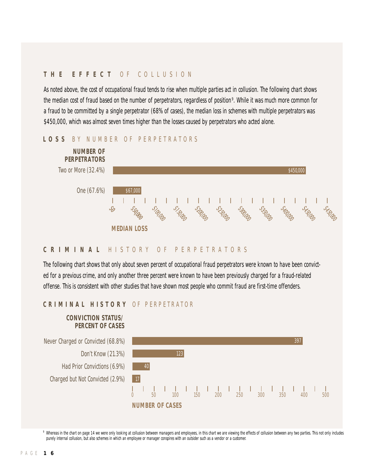# **T H E E F F E C T** O F C O L L U S I O N

As noted above, the cost of occupational fraud tends to rise when multiple parties act in collusion. The following chart shows the median cost of fraud based on the number of perpetrators, regardless of position 9 . While it was much more common for a fraud to be committed by a single perpetrator (68% of cases), the median loss in schemes with multiple perpetrators was \$450,000, which was almost seven times higher than the losses caused by perpetrators who acted alone.



#### LOSS BY NUMBER OF PERPETRATORS

#### **C R I M I N A L** H I S T O R Y O F P E R P E T R A T O R S

The following chart shows that only about seven percent of occupational fraud perpetrators were known to have been convicted for a previous crime, and only another three percent were known to have been previously charged for a fraud-related offense. This is consistent with other studies that have shown most people who commit fraud are first-time offenders.

#### **C R I M I N A L H I S T O R Y** O F P E R P E T R A T O R



9 Whereas in the chart on page 14 we were only looking at collusion between managers and employees, in this chart we are viewing the effects of collusion between any two parties. This not only includes purely internal collusion, but also schemes in which an employee or manager conspires with an outsider such as a vendor or a customer.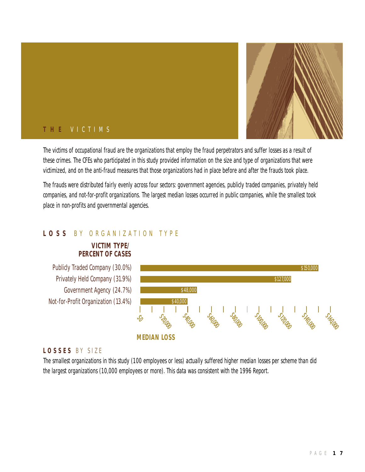

# **T H E** V I C T I M S

The victims of occupational fraud are the organizations that employ the fraud perpetrators and suffer losses as a result of these crimes. The CFEs who participated in this study provided information on the size and type of organizations that were victimized, and on the anti-fraud measures that those organizations had in place before and after the frauds took place.

The frauds were distributed fairly evenly across four sectors: government agencies, publicly traded companies, privately held companies, and not-for-profit organizations. The largest median losses occurred in public companies, while the smallest took place in non-profits and governmental agencies.

# **L O S S** B Y O R G A N I Z A T I O N T Y P E

## **VICTIM TYPE/ PERCENT OF CASES**

Publicly Traded Company (30.0%) Privately Held Company (31.9%) Government Agency (24.7%) Not-for-Profit Organization (13.4%)



# **L O S S E S** B Y S I Z E

The smallest organizations in this study (100 employees or less) actually suffered higher median losses per scheme than did the largest organizations (10,000 employees or more). This data was consistent with the *1996 Report*.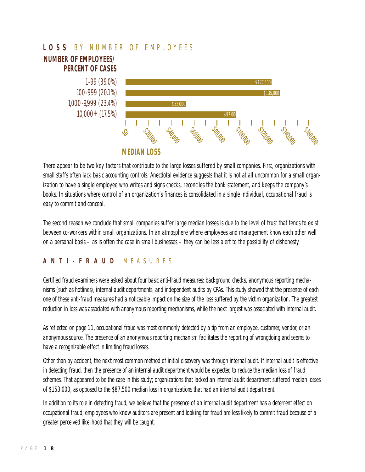

There appear to be two key factors that contribute to the large losses suffered by small companies. First, organizations with small staffs often lack basic accounting controls. Anecdotal evidence suggests that it is not at all uncommon for a small organization to have a single employee who writes and signs checks, reconciles the bank statement, and keeps the company's books. In situations where control of an organization's finances is consolidated in a single individual, occupational fraud is easy to commit and conceal.

The second reason we conclude that small companies suffer large median losses is due to the level of trust that tends to exist between co-workers within small organizations. In an atmosphere where employees and management know each other well on a personal basis – as is often the case in small businesses – they can be less alert to the possibility of dishonesty.

#### **A N T I - F R A U D** M E A S U R E S

Certified fraud examiners were asked about four basic anti-fraud measures: background checks, anonymous reporting mechanisms (such as hotlines), internal audit departments, and independent audits by CPAs. This study showed that the presence of each one of these anti-fraud measures had a noticeable impact on the size of the loss suffered by the victim organization. The greatest reduction in loss was associated with anonymous reporting mechanisms, while the next largest was associated with internal audit.

As reflected on page 11, occupational fraud was most commonly detected by a tip from an employee, customer, vendor, or an anonymous source. The presence of an anonymous reporting mechanism facilitates the reporting of wrongdoing and seems to have a recognizable effect in limiting fraud losses.

Other than by accident, the next most common method of initial discovery was through internal audit. If internal audit is effective in detecting fraud, then the presence of an internal audit department would be expected to reduce the median loss of fraud schemes. That appeared to be the case in this study; organizations that lacked an internal audit department suffered median losses of \$153,000, as opposed to the \$87,500 median loss in organizations that had an internal audit department.

In addition to its role in detecting fraud, we believe that the presence of an internal audit department has a deterrent effect on occupational fraud; employees who know auditors are present and looking for fraud are less likely to commit fraud because of a greater perceived likelihood that they will be caught.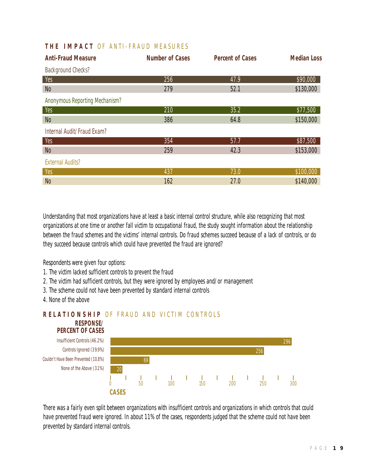# **THE IMPACT OF ANTI-FRAUD MEASURES**

| <b>Anti-Fraud Measure</b>             | <b>Number of Cases</b> | <b>Percent of Cases</b> | <b>Median Loss</b> |
|---------------------------------------|------------------------|-------------------------|--------------------|
| <b>Background Checks?</b>             |                        |                         |                    |
| Yes                                   | 256                    | 47.9                    | \$90,000           |
| N <sub>0</sub>                        | 279                    | 52.1                    | \$130,000          |
| <b>Anonymous Reporting Mechanism?</b> |                        |                         |                    |
| Yes                                   | 210                    | 35.2                    | \$77,500           |
| N <sub>0</sub>                        | 386                    | 64.8                    | \$150,000          |
| Internal Audit/Fraud Exam?            |                        |                         |                    |
| Yes                                   | 354                    | 57.7                    | \$87,500           |
| N <sub>0</sub>                        | 259                    | 42.3                    | \$153,000          |
| <b>External Audits?</b>               |                        |                         |                    |
| Yes                                   | 437                    | 73.0                    | \$100,000          |
| N <sub>0</sub>                        | 162                    | 27.0                    | \$140,000          |

Understanding that most organizations have at least a basic internal control structure, while also recognizing that most organizations at one time or another fall victim to occupational fraud, the study sought information about the relationship between the fraud schemes and the victims' internal controls. Do fraud schemes succeed because of a lack of controls, or do they succeed because controls which could have prevented the fraud are ignored?

Respondents were given four options:

- 1. The victim lacked sufficient controls to prevent the fraud
- 2. The victim had sufficient controls, but they were ignored by employees and/or management
- 3. The scheme could not have been prevented by standard internal controls
- 4. None of the above

#### **RESPONSE/ RELATIONSHIP OF FRAUD AND VICTIM CONTROLS**



There was a fairly even split between organizations with insufficient controls and organizations in which controls that could have prevented fraud were ignored. In about 11% of the cases, respondents judged that the scheme could not have been prevented by standard internal controls.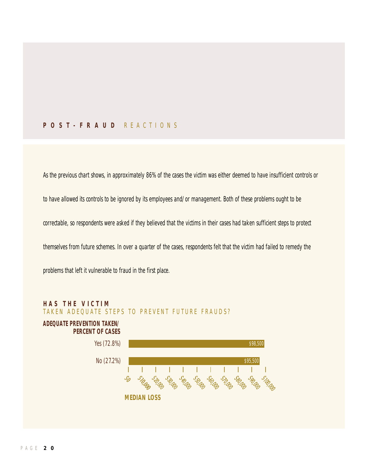## **P O S T - F R A U D** R E A C T I O N S

As the previous chart shows, in approximately 86% of the cases the victim was either deemed to have insufficient controls or to have allowed its controls to be ignored by its employees and/or management. Both of these problems ought to be correctable, so respondents were asked if they believed that the victims in their cases had taken sufficient steps to protect themselves from future schemes. In over a quarter of the cases, respondents felt that the victim had failed to remedy the

T

problems that left it vulnerable to fraud in the first place.



**MEDIAN LOSS**

رحمد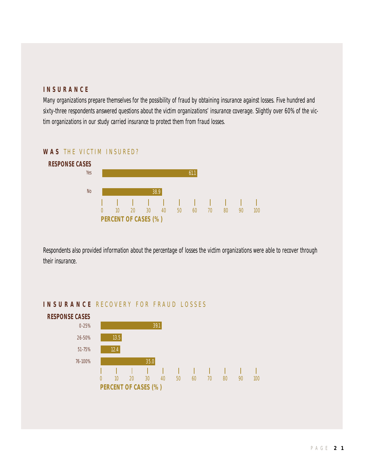# **I N S U R A N C E**

Many organizations prepare themselves for the possibility of fraud by obtaining insurance against losses. Five hundred and sixty-three respondents answered questions about the victim organizations' insurance coverage. Slightly over 60% of the victim organizations in our study carried insurance to protect them from fraud losses.

# **WAS THE VICTIM INSURED?**



Respondents also provided information about the percentage of losses the victim organizations were able to recover through their insurance.



## **INSURANCE RECOVERY FOR FRAUD LOSSES**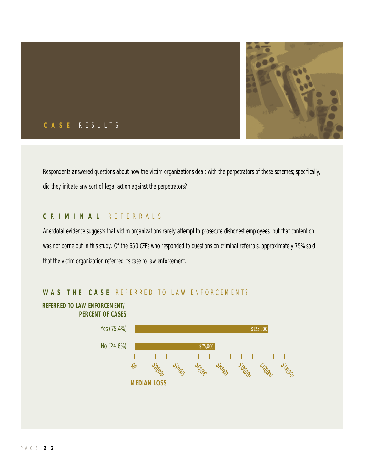

# **C A S E** R E S U L T S

Respondents answered questions about how the victim organizations dealt with the perpetrators of these schemes; specifically, did they initiate any sort of legal action against the perpetrators?

### **C R I M I N A L** R E F E R R A L S

Anecdotal evidence suggests that victim organizations rarely attempt to prosecute dishonest employees, but that contention was not borne out in this study. Of the 650 CFEs who responded to questions on criminal referrals, approximately 75% said that the victim organization referred its case to law enforcement.



# WAS THE CASE REFERRED TO LAW ENFORCEMENT?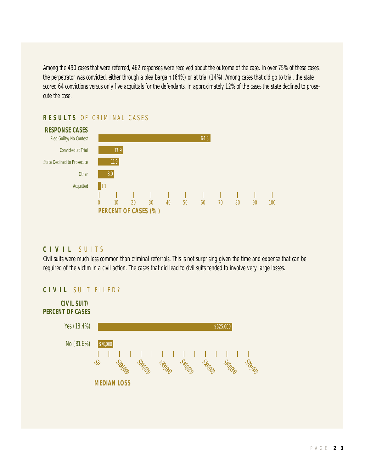Among the 490 cases that were referred, 462 responses were received about the outcome of the case. In over 75% of these cases, the perpetrator was convicted, either through a plea bargain (64%) or at trial (14%). Among cases that did go to trial, the state scored 64 convictions versus only five acquittals for the defendants. In approximately 12% of the cases the state declined to prosecute the case.

# **RESULTS OF CRIMINAL CASES**



## **C I V I L** S U I T S

Civil suits were much less common than criminal referrals. This is not surprising given the time and expense that can be required of the victim in a civil action. The cases that did lead to civil suits tended to involve very large losses.

## **CIVIL SUIT FILED?**

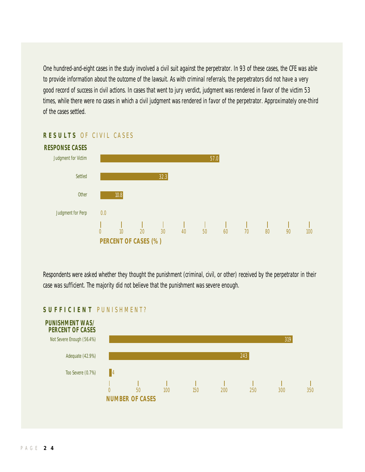One hundred-and-eight cases in the study involved a civil suit against the perpetrator. In 93 of these cases, the CFE was able to provide information about the outcome of the lawsuit. As with criminal referrals, the perpetrators did not have a very good record of success in civil actions. In cases that went to jury verdict, judgment was rendered in favor of the victim 53 times, while there were no cases in which a civil judgment was rendered in favor of the perpetrator. Approximately one-third of the cases settled.



## **RESULTS OF CIVIL CASES**

Respondents were asked whether they thought the punishment (criminal, civil, or other) received by the perpetrator in their case was sufficient. The majority did not believe that the punishment was severe enough.



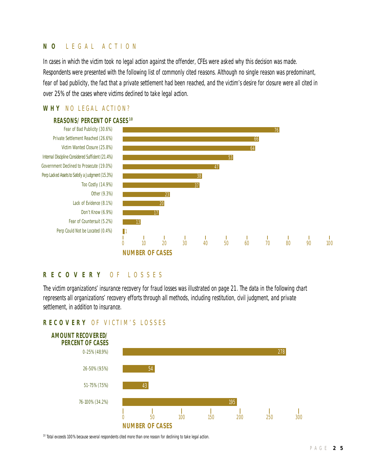# **N O** L E G A L A C T I O N

In cases in which the victim took no legal action against the offender, CFEs were asked why this decision was made. Respondents were presented with the following list of commonly cited reasons. Although no single reason was predominant, fear of bad publicity, the fact that a private settlement had been reached, and the victim's desire for closure were all cited in over 25% of the cases where victims declined to take legal action.

## **WHY NO LEGAL ACTION?**



#### **R E C O V E R Y** O F L O S S E S

The victim organizations' insurance recovery for fraud losses was illustrated on page 21. The data in the following chart represents all organizations' recovery efforts through *all methods*, including restitution, civil judgment, and private settlement, in addition to insurance.

## **R E C O V E R Y** O F V I C T I M ' S L O S S E S



<sup>10</sup> Total exceeds 100% because several respondents cited more than one reason for declining to take legal action.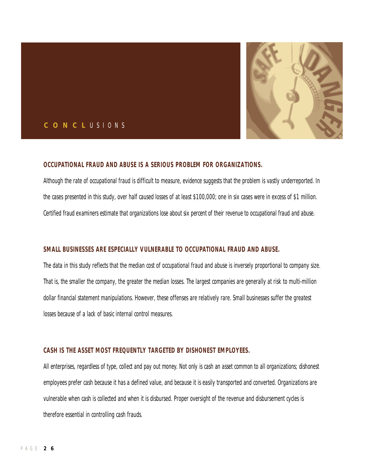

#### **C O N C L** U S I O N S

#### **OCCUPATIONAL FRAUD AND ABUSE IS A SERIOUS PROBLEM FOR ORGANIZATIONS.**

Although the rate of occupational fraud is difficult to measure, evidence suggests that the problem is vastly underreported. In the cases presented in this study, over half caused losses of at least \$100,000; one in six cases were in excess of \$1 million. Certified fraud examiners estimate that organizations lose about six percent of their revenue to occupational fraud and abuse.

#### **SMALL BUSINESSES ARE ESPECIALLY VULNERABLE TO OCCUPATIONAL FRAUD AND ABUSE.**

The data in this study reflects that the median cost of occupational fraud and abuse is inversely proportional to company size. That is, the smaller the company, the greater the median losses. The largest companies are generally at risk to multi-million dollar financial statement manipulations. However, these offenses are relatively rare. Small businesses suffer the greatest losses because of a lack of basic internal control measures.

#### **CASH IS THE ASSET MOST FREQUENTLY TARGETED BY DISHONEST EMPLOYEES.**

All enterprises, regardless of type, collect and pay out money. Not only is cash an asset common to all organizations; dishonest employees prefer cash because it has a defined value, and because it is easily transported and converted. Organizations are vulnerable when cash is collected and when it is disbursed. Proper oversight of the revenue and disbursement cycles is therefore essential in controlling cash frauds.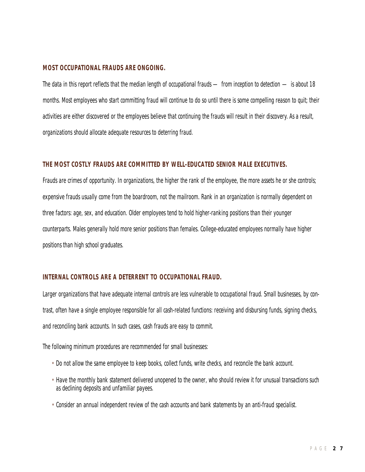#### **MOST OCCUPATIONAL FRAUDS ARE ONGOING.**

The data in this report reflects that the median length of occupational frauds — from inception to detection — is about 18 months. Most employees who start committing fraud will continue to do so until there is some compelling reason to quit; their activities are either discovered or the employees believe that continuing the frauds will result in their discovery. As a result, organizations should allocate adequate resources to deterring fraud.

#### **THE MOST COSTLY FRAUDS ARE COMMITTED BY WELL-EDUCATED SENIOR MALE EXECUTIVES.**

Frauds are crimes of opportunity. In organizations, the higher the rank of the employee, the more assets he or she controls; expensive frauds usually come from the boardroom, not the mailroom. Rank in an organization is normally dependent on three factors: age, sex, and education. Older employees tend to hold higher-ranking positions than their younger counterparts. Males generally hold more senior positions than females. College-educated employees normally have higher positions than high school graduates.

#### **INTERNAL CONTROLS ARE A DETERRENT TO OCCUPATIONAL FRAUD.**

Larger organizations that have adequate internal controls are less vulnerable to occupational fraud. Small businesses, by contrast, often have a single employee responsible for all cash-related functions: receiving and disbursing funds, signing checks, and reconciling bank accounts. In such cases, cash frauds are easy to commit.

The following minimum procedures are recommended for small businesses:

- Do not allow the same employee to keep books, collect funds, write checks, and reconcile the bank account.
- Have the monthly bank statement delivered unopened to the owner, who should review it for unusual transactions such as declining deposits and unfamiliar payees.
- Consider an annual independent review of the cash accounts and bank statements by an anti-fraud specialist.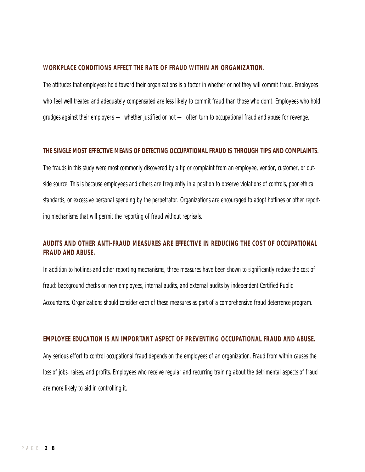#### **WORKPLACE CONDITIONS AFFECT THE RATE OF FRAUD WITHIN AN ORGANIZATION.**

The attitudes that employees hold toward their organizations is a factor in whether or not they will commit fraud. Employees who feel well treated and adequately compensated are less likely to commit fraud than those who don't. Employees who hold grudges against their employers — whether justified or not — often turn to occupational fraud and abuse for revenge.

#### **THE SINGLE MOST EFFECTIVE MEANS OF DETECTING OCCUPATIONAL FRAUD IS THROUGH TIPS AND COMPLAINTS.**

The frauds in this study were most commonly discovered by a tip or complaint from an employee, vendor, customer, or outside source. This is because employees and others are frequently in a position to observe violations of controls, poor ethical standards, or excessive personal spending by the perpetrator. Organizations are encouraged to adopt hotlines or other reporting mechanisms that will permit the reporting of fraud without reprisals.

# **AUDITS AND OTHER ANTI-FRAUD MEASURES ARE EFFECTIVE IN REDUCING THE COST OF OCCUPATIONAL FRAUD AND ABUSE.**

In addition to hotlines and other reporting mechanisms, three measures have been shown to significantly reduce the cost of fraud: background checks on new employees, internal audits, and external audits by independent Certified Public Accountants. Organizations should consider each of these measures as part of a comprehensive fraud deterrence program.

#### **EMPLOYEE EDUCATION IS AN IMPORTANT ASPECT OF PREVENTING OCCUPATIONAL FRAUD AND ABUSE.**

Any serious effort to control occupational fraud depends on the employees of an organization. Fraud from within causes the loss of jobs, raises, and profits. Employees who receive regular and recurring training about the detrimental aspects of fraud are more likely to aid in controlling it.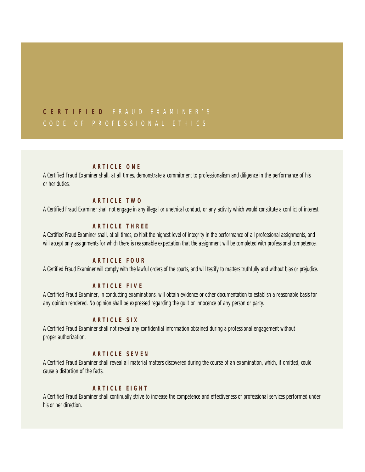# **C E R T I F I E D** F R A U D E X A M I N E R ' S C O D E O F P R O F E S S I O N A L E T H I C S

### **A R T I C L E O N E**

A Certified Fraud Examiner shall, at all times, demonstrate a commitment to professionalism and diligence in the performance of his or her duties.

#### **A R T I C L E T W O**

A Certified Fraud Examiner shall not engage in any illegal or unethical conduct, or any activity which would constitute a conflict of interest.

#### **A R T I C L E T H R E E**

A Certified Fraud Examiner shall, at all times, exhibit the highest level of integrity in the performance of all professional assignments, and will accept only assignments for which there is reasonable expectation that the assignment will be completed with professional competence.

#### **A R T I C L E F O U R**

A Certified Fraud Examiner will comply with the lawful orders of the courts, and will testify to matters truthfully and without bias or prejudice.

#### **A R T I C L E F I V E**

A Certified Fraud Examiner, in conducting examinations, will obtain evidence or other documentation to establish a reasonable basis for any opinion rendered. No opinion shall be expressed regarding the guilt or innocence of any person or party.

#### **A R T I C L E S I X**

A Certified Fraud Examiner shall not reveal any confidential information obtained during a professional engagement without proper authorization.

#### **A R T I C L E S E V E N**

A Certified Fraud Examiner shall reveal all material matters discovered during the course of an examination, which, if omitted, could cause a distortion of the facts.

#### **A R T I C L E E I G H T**

A Certified Fraud Examiner shall continually strive to increase the competence and effectiveness of professional services performed under his or her direction.